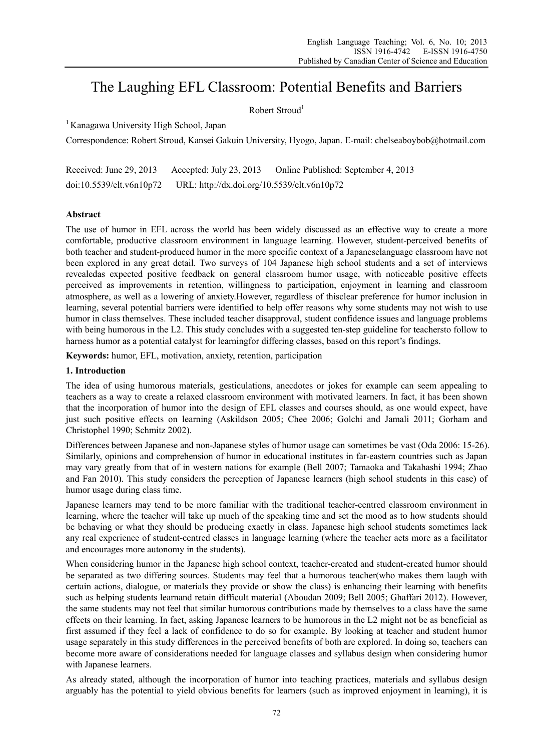# The Laughing EFL Classroom: Potential Benefits and Barriers

Robert Stroud<sup>1</sup>

<sup>1</sup> Kanagawa University High School, Japan

Correspondence: Robert Stroud, Kansei Gakuin University, Hyogo, Japan. E-mail: chelseaboybob@hotmail.com

Received: June 29, 2013 Accepted: July 23, 2013 Online Published: September 4, 2013 doi:10.5539/elt.v6n10p72 URL: http://dx.doi.org/10.5539/elt.v6n10p72

## **Abstract**

The use of humor in EFL across the world has been widely discussed as an effective way to create a more comfortable, productive classroom environment in language learning. However, student-perceived benefits of both teacher and student-produced humor in the more specific context of a Japaneselanguage classroom have not been explored in any great detail. Two surveys of 104 Japanese high school students and a set of interviews revealedas expected positive feedback on general classroom humor usage, with noticeable positive effects perceived as improvements in retention, willingness to participation, enjoyment in learning and classroom atmosphere, as well as a lowering of anxiety.However, regardless of thisclear preference for humor inclusion in learning, several potential barriers were identified to help offer reasons why some students may not wish to use humor in class themselves. These included teacher disapproval, student confidence issues and language problems with being humorous in the L2. This study concludes with a suggested ten-step guideline for teachersto follow to harness humor as a potential catalyst for learningfor differing classes, based on this report's findings.

**Keywords:** humor, EFL, motivation, anxiety, retention, participation

## **1. Introduction**

The idea of using humorous materials, gesticulations, anecdotes or jokes for example can seem appealing to teachers as a way to create a relaxed classroom environment with motivated learners. In fact, it has been shown that the incorporation of humor into the design of EFL classes and courses should, as one would expect, have just such positive effects on learning (Askildson 2005; Chee 2006; Golchi and Jamali 2011; Gorham and Christophel 1990; Schmitz 2002).

Differences between Japanese and non-Japanese styles of humor usage can sometimes be vast (Oda 2006: 15-26). Similarly, opinions and comprehension of humor in educational institutes in far-eastern countries such as Japan may vary greatly from that of in western nations for example (Bell 2007; Tamaoka and Takahashi 1994; Zhao and Fan 2010). This study considers the perception of Japanese learners (high school students in this case) of humor usage during class time.

Japanese learners may tend to be more familiar with the traditional teacher-centred classroom environment in learning, where the teacher will take up much of the speaking time and set the mood as to how students should be behaving or what they should be producing exactly in class. Japanese high school students sometimes lack any real experience of student-centred classes in language learning (where the teacher acts more as a facilitator and encourages more autonomy in the students).

When considering humor in the Japanese high school context, teacher-created and student-created humor should be separated as two differing sources. Students may feel that a humorous teacher(who makes them laugh with certain actions, dialogue, or materials they provide or show the class) is enhancing their learning with benefits such as helping students learnand retain difficult material (Aboudan 2009; Bell 2005; Ghaffari 2012). However, the same students may not feel that similar humorous contributions made by themselves to a class have the same effects on their learning. In fact, asking Japanese learners to be humorous in the L2 might not be as beneficial as first assumed if they feel a lack of confidence to do so for example. By looking at teacher and student humor usage separately in this study differences in the perceived benefits of both are explored. In doing so, teachers can become more aware of considerations needed for language classes and syllabus design when considering humor with Japanese learners.

As already stated, although the incorporation of humor into teaching practices, materials and syllabus design arguably has the potential to yield obvious benefits for learners (such as improved enjoyment in learning), it is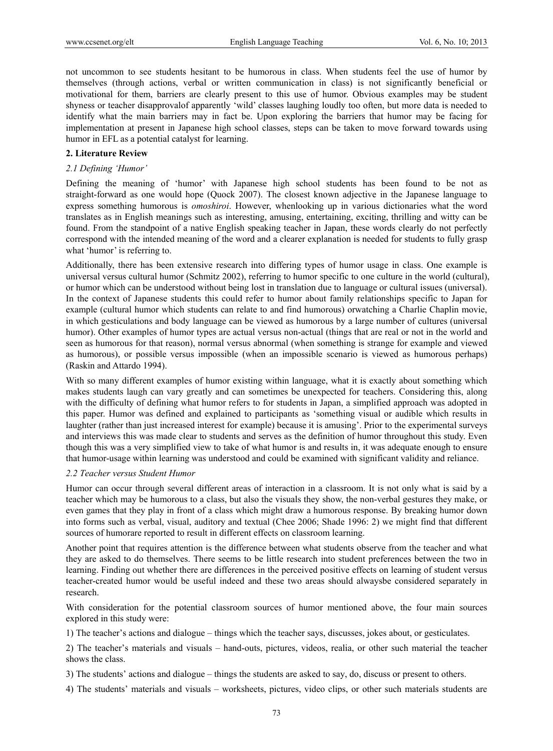not uncommon to see students hesitant to be humorous in class. When students feel the use of humor by themselves (through actions, verbal or written communication in class) is not significantly beneficial or motivational for them, barriers are clearly present to this use of humor. Obvious examples may be student shyness or teacher disapprovalof apparently 'wild' classes laughing loudly too often, but more data is needed to identify what the main barriers may in fact be. Upon exploring the barriers that humor may be facing for implementation at present in Japanese high school classes, steps can be taken to move forward towards using humor in EFL as a potential catalyst for learning.

#### **2. Literature Review**

#### *2.1 Defining 'Humor'*

Defining the meaning of 'humor' with Japanese high school students has been found to be not as straight-forward as one would hope (Quock 2007). The closest known adjective in the Japanese language to express something humorous is *omoshiroi*. However, whenlooking up in various dictionaries what the word translates as in English meanings such as interesting, amusing, entertaining, exciting, thrilling and witty can be found. From the standpoint of a native English speaking teacher in Japan, these words clearly do not perfectly correspond with the intended meaning of the word and a clearer explanation is needed for students to fully grasp what 'humor' is referring to.

Additionally, there has been extensive research into differing types of humor usage in class. One example is universal versus cultural humor (Schmitz 2002), referring to humor specific to one culture in the world (cultural), or humor which can be understood without being lost in translation due to language or cultural issues (universal). In the context of Japanese students this could refer to humor about family relationships specific to Japan for example (cultural humor which students can relate to and find humorous) orwatching a Charlie Chaplin movie, in which gesticulations and body language can be viewed as humorous by a large number of cultures (universal humor). Other examples of humor types are actual versus non-actual (things that are real or not in the world and seen as humorous for that reason), normal versus abnormal (when something is strange for example and viewed as humorous), or possible versus impossible (when an impossible scenario is viewed as humorous perhaps) (Raskin and Attardo 1994).

With so many different examples of humor existing within language, what it is exactly about something which makes students laugh can vary greatly and can sometimes be unexpected for teachers. Considering this, along with the difficulty of defining what humor refers to for students in Japan, a simplified approach was adopted in this paper. Humor was defined and explained to participants as 'something visual or audible which results in laughter (rather than just increased interest for example) because it is amusing'. Prior to the experimental surveys and interviews this was made clear to students and serves as the definition of humor throughout this study. Even though this was a very simplified view to take of what humor is and results in, it was adequate enough to ensure that humor-usage within learning was understood and could be examined with significant validity and reliance.

#### *2.2 Teacher versus Student Humor*

Humor can occur through several different areas of interaction in a classroom. It is not only what is said by a teacher which may be humorous to a class, but also the visuals they show, the non-verbal gestures they make, or even games that they play in front of a class which might draw a humorous response. By breaking humor down into forms such as verbal, visual, auditory and textual (Chee 2006; Shade 1996: 2) we might find that different sources of humorare reported to result in different effects on classroom learning.

Another point that requires attention is the difference between what students observe from the teacher and what they are asked to do themselves. There seems to be little research into student preferences between the two in learning. Finding out whether there are differences in the perceived positive effects on learning of student versus teacher-created humor would be useful indeed and these two areas should alwaysbe considered separately in research.

With consideration for the potential classroom sources of humor mentioned above, the four main sources explored in this study were:

1) The teacher's actions and dialogue – things which the teacher says, discusses, jokes about, or gesticulates.

2) The teacher's materials and visuals – hand-outs, pictures, videos, realia, or other such material the teacher shows the class.

3) The students' actions and dialogue – things the students are asked to say, do, discuss or present to others.

4) The students' materials and visuals – worksheets, pictures, video clips, or other such materials students are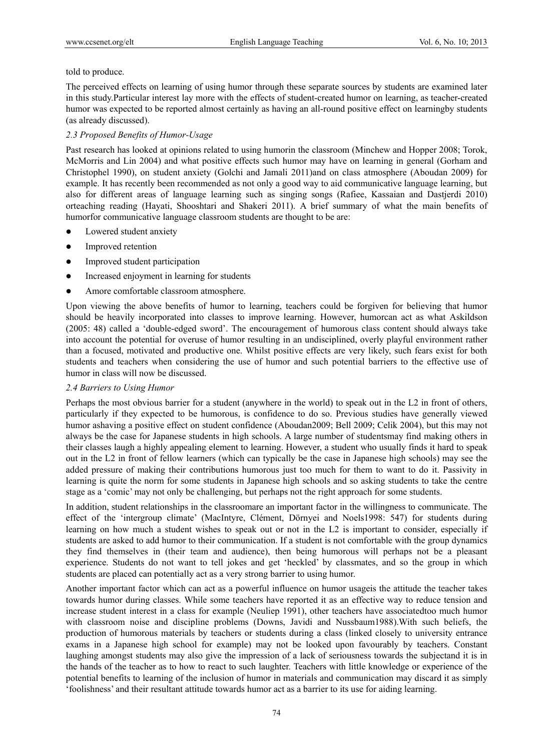## told to produce.

The perceived effects on learning of using humor through these separate sources by students are examined later in this study.Particular interest lay more with the effects of student-created humor on learning, as teacher-created humor was expected to be reported almost certainly as having an all-round positive effect on learningby students (as already discussed).

## *2.3 Proposed Benefits of Humor-Usage*

Past research has looked at opinions related to using humorin the classroom (Minchew and Hopper 2008; Torok, McMorris and Lin 2004) and what positive effects such humor may have on learning in general (Gorham and Christophel 1990), on student anxiety (Golchi and Jamali 2011)and on class atmosphere (Aboudan 2009) for example. It has recently been recommended as not only a good way to aid communicative language learning, but also for different areas of language learning such as singing songs (Rafiee, Kassaian and Dastjerdi 2010) orteaching reading (Hayati, Shooshtari and Shakeri 2011). A brief summary of what the main benefits of humorfor communicative language classroom students are thought to be are:

- Lowered student anxiety
- Improved retention
- Improved student participation
- Increased enjoyment in learning for students
- Amore comfortable classroom atmosphere.

Upon viewing the above benefits of humor to learning, teachers could be forgiven for believing that humor should be heavily incorporated into classes to improve learning. However, humorcan act as what Askildson (2005: 48) called a 'double-edged sword'. The encouragement of humorous class content should always take into account the potential for overuse of humor resulting in an undisciplined, overly playful environment rather than a focused, motivated and productive one. Whilst positive effects are very likely, such fears exist for both students and teachers when considering the use of humor and such potential barriers to the effective use of humor in class will now be discussed.

## *2.4 Barriers to Using Humor*

Perhaps the most obvious barrier for a student (anywhere in the world) to speak out in the L2 in front of others, particularly if they expected to be humorous, is confidence to do so. Previous studies have generally viewed humor ashaving a positive effect on student confidence (Aboudan2009; Bell 2009; Celik 2004), but this may not always be the case for Japanese students in high schools. A large number of studentsmay find making others in their classes laugh a highly appealing element to learning. However, a student who usually finds it hard to speak out in the L2 in front of fellow learners (which can typically be the case in Japanese high schools) may see the added pressure of making their contributions humorous just too much for them to want to do it. Passivity in learning is quite the norm for some students in Japanese high schools and so asking students to take the centre stage as a 'comic' may not only be challenging, but perhaps not the right approach for some students.

In addition, student relationships in the classroomare an important factor in the willingness to communicate. The effect of the 'intergroup climate' (MacIntyre, Clément, Dörnyei and Noels1998: 547) for students during learning on how much a student wishes to speak out or not in the L2 is important to consider, especially if students are asked to add humor to their communication. If a student is not comfortable with the group dynamics they find themselves in (their team and audience), then being humorous will perhaps not be a pleasant experience. Students do not want to tell jokes and get 'heckled' by classmates, and so the group in which students are placed can potentially act as a very strong barrier to using humor.

Another important factor which can act as a powerful influence on humor usageis the attitude the teacher takes towards humor during classes. While some teachers have reported it as an effective way to reduce tension and increase student interest in a class for example (Neuliep 1991), other teachers have associatedtoo much humor with classroom noise and discipline problems (Downs, Javidi and Nussbaum1988).With such beliefs, the production of humorous materials by teachers or students during a class (linked closely to university entrance exams in a Japanese high school for example) may not be looked upon favourably by teachers. Constant laughing amongst students may also give the impression of a lack of seriousness towards the subjectand it is in the hands of the teacher as to how to react to such laughter. Teachers with little knowledge or experience of the potential benefits to learning of the inclusion of humor in materials and communication may discard it as simply 'foolishness' and their resultant attitude towards humor act as a barrier to its use for aiding learning.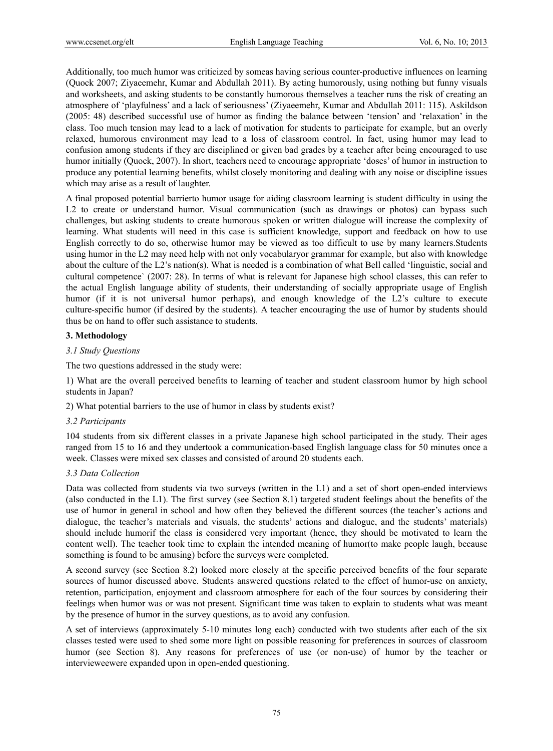Additionally, too much humor was criticized by someas having serious counter-productive influences on learning (Quock 2007; Ziyaeemehr, Kumar and Abdullah 2011). By acting humorously, using nothing but funny visuals and worksheets, and asking students to be constantly humorous themselves a teacher runs the risk of creating an atmosphere of 'playfulness' and a lack of seriousness' (Ziyaeemehr, Kumar and Abdullah 2011: 115). Askildson (2005: 48) described successful use of humor as finding the balance between 'tension' and 'relaxation' in the class. Too much tension may lead to a lack of motivation for students to participate for example, but an overly relaxed, humorous environment may lead to a loss of classroom control. In fact, using humor may lead to confusion among students if they are disciplined or given bad grades by a teacher after being encouraged to use humor initially (Quock, 2007). In short, teachers need to encourage appropriate 'doses' of humor in instruction to produce any potential learning benefits, whilst closely monitoring and dealing with any noise or discipline issues which may arise as a result of laughter.

A final proposed potential barrierto humor usage for aiding classroom learning is student difficulty in using the L2 to create or understand humor. Visual communication (such as drawings or photos) can bypass such challenges, but asking students to create humorous spoken or written dialogue will increase the complexity of learning. What students will need in this case is sufficient knowledge, support and feedback on how to use English correctly to do so, otherwise humor may be viewed as too difficult to use by many learners.Students using humor in the L2 may need help with not only vocabularyor grammar for example, but also with knowledge about the culture of the L2's nation(s). What is needed is a combination of what Bell called 'linguistic, social and cultural competence` (2007: 28). In terms of what is relevant for Japanese high school classes, this can refer to the actual English language ability of students, their understanding of socially appropriate usage of English humor (if it is not universal humor perhaps), and enough knowledge of the L2's culture to execute culture-specific humor (if desired by the students). A teacher encouraging the use of humor by students should thus be on hand to offer such assistance to students.

## **3. Methodology**

## *3.1 Study Questions*

The two questions addressed in the study were:

1) What are the overall perceived benefits to learning of teacher and student classroom humor by high school students in Japan?

2) What potential barriers to the use of humor in class by students exist?

#### *3.2 Participants*

104 students from six different classes in a private Japanese high school participated in the study. Their ages ranged from 15 to 16 and they undertook a communication-based English language class for 50 minutes once a week. Classes were mixed sex classes and consisted of around 20 students each.

## *3.3 Data Collection*

Data was collected from students via two surveys (written in the L1) and a set of short open-ended interviews (also conducted in the L1). The first survey (see Section 8.1) targeted student feelings about the benefits of the use of humor in general in school and how often they believed the different sources (the teacher's actions and dialogue, the teacher's materials and visuals, the students' actions and dialogue, and the students' materials) should include humorif the class is considered very important (hence, they should be motivated to learn the content well). The teacher took time to explain the intended meaning of humor(to make people laugh, because something is found to be amusing) before the surveys were completed.

A second survey (see Section 8.2) looked more closely at the specific perceived benefits of the four separate sources of humor discussed above. Students answered questions related to the effect of humor-use on anxiety, retention, participation, enjoyment and classroom atmosphere for each of the four sources by considering their feelings when humor was or was not present. Significant time was taken to explain to students what was meant by the presence of humor in the survey questions, as to avoid any confusion.

A set of interviews (approximately 5-10 minutes long each) conducted with two students after each of the six classes tested were used to shed some more light on possible reasoning for preferences in sources of classroom humor (see Section 8). Any reasons for preferences of use (or non-use) of humor by the teacher or intervieweewere expanded upon in open-ended questioning.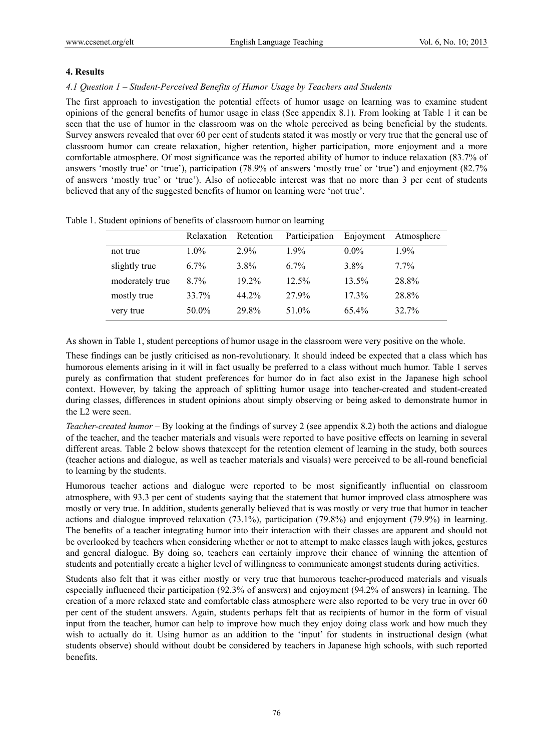#### **4. Results**

#### *4.1 Question 1 – Student-Perceived Benefits of Humor Usage by Teachers and Students*

The first approach to investigation the potential effects of humor usage on learning was to examine student opinions of the general benefits of humor usage in class (See appendix 8.1). From looking at Table 1 it can be seen that the use of humor in the classroom was on the whole perceived as being beneficial by the students. Survey answers revealed that over 60 per cent of students stated it was mostly or very true that the general use of classroom humor can create relaxation, higher retention, higher participation, more enjoyment and a more comfortable atmosphere. Of most significance was the reported ability of humor to induce relaxation (83.7% of answers 'mostly true' or 'true'), participation (78.9% of answers 'mostly true' or 'true') and enjoyment (82.7% of answers 'mostly true' or 'true'). Also of noticeable interest was that no more than 3 per cent of students believed that any of the suggested benefits of humor on learning were 'not true'.

|                 | Relaxation | Retention | Participation | Enjoyment | Atmosphere |
|-----------------|------------|-----------|---------------|-----------|------------|
| not true        | $1.0\%$    | $2.9\%$   | $1.9\%$       | $0.0\%$   | $1.9\%$    |
| slightly true   | $6.7\%$    | $3.8\%$   | 67%           | 3.8%      | $7.7\%$    |
| moderately true | $8.7\%$    | $19.2\%$  | 12.5%         | 13.5%     | 28.8%      |
| mostly true     | 33.7%      | 44.2%     | 27.9%         | $17.3\%$  | 28.8%      |
| very true       | 50.0%      | 29.8%     | 51.0%         | 65.4%     | 32.7%      |

Table 1. Student opinions of benefits of classroom humor on learning

As shown in Table 1, student perceptions of humor usage in the classroom were very positive on the whole.

These findings can be justly criticised as non-revolutionary. It should indeed be expected that a class which has humorous elements arising in it will in fact usually be preferred to a class without much humor. Table 1 serves purely as confirmation that student preferences for humor do in fact also exist in the Japanese high school context. However, by taking the approach of splitting humor usage into teacher-created and student-created during classes, differences in student opinions about simply observing or being asked to demonstrate humor in the L2 were seen.

*Teacher-created humor –* By looking at the findings of survey 2 (see appendix 8.2) both the actions and dialogue of the teacher, and the teacher materials and visuals were reported to have positive effects on learning in several different areas. Table 2 below shows thatexcept for the retention element of learning in the study, both sources (teacher actions and dialogue, as well as teacher materials and visuals) were perceived to be all-round beneficial to learning by the students.

Humorous teacher actions and dialogue were reported to be most significantly influential on classroom atmosphere, with 93.3 per cent of students saying that the statement that humor improved class atmosphere was mostly or very true. In addition, students generally believed that is was mostly or very true that humor in teacher actions and dialogue improved relaxation (73.1%), participation (79.8%) and enjoyment (79.9%) in learning. The benefits of a teacher integrating humor into their interaction with their classes are apparent and should not be overlooked by teachers when considering whether or not to attempt to make classes laugh with jokes, gestures and general dialogue. By doing so, teachers can certainly improve their chance of winning the attention of students and potentially create a higher level of willingness to communicate amongst students during activities.

Students also felt that it was either mostly or very true that humorous teacher-produced materials and visuals especially influenced their participation (92.3% of answers) and enjoyment (94.2% of answers) in learning. The creation of a more relaxed state and comfortable class atmosphere were also reported to be very true in over 60 per cent of the student answers. Again, students perhaps felt that as recipients of humor in the form of visual input from the teacher, humor can help to improve how much they enjoy doing class work and how much they wish to actually do it. Using humor as an addition to the 'input' for students in instructional design (what students observe) should without doubt be considered by teachers in Japanese high schools, with such reported benefits.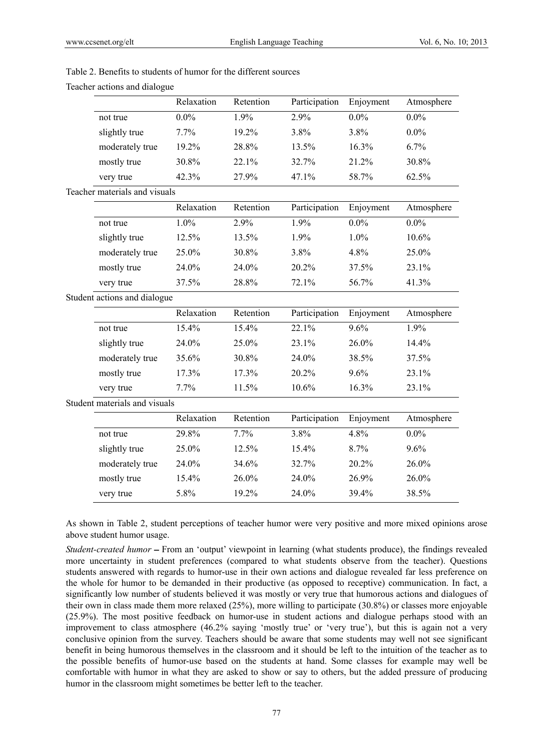|                               | Relaxation | Retention | Participation | Enjoyment | Atmosphere |
|-------------------------------|------------|-----------|---------------|-----------|------------|
| not true                      | $0.0\%$    | $1.9\%$   | 2.9%          | $0.0\%$   | $0.0\%$    |
| slightly true                 | $7.7\%$    | 19.2%     | $3.8\%$       | 3.8%      | $0.0\%$    |
| moderately true               | 19.2%      | 28.8%     | 13.5%         | $16.3\%$  | $6.7\%$    |
| mostly true                   | 30.8%      | 22.1%     | 32.7%         | 21.2%     | 30.8%      |
| very true                     | 42.3%      | 27.9%     | 47.1%         | 58.7%     | 62.5%      |
| Teacher materials and visuals |            |           |               |           |            |
|                               | Relaxation | Retention | Participation | Enjoyment | Atmosphere |
| not true                      | $1.0\%$    | 2.9%      | $1.9\%$       | $0.0\%$   | $0.0\%$    |
| slightly true                 | 12.5%      | 13.5%     | $1.9\%$       | $1.0\%$   | $10.6\%$   |
| moderately true               | 25.0%      | 30.8%     | $3.8\%$       | 4.8%      | $25.0\%$   |
| mostly true                   | 24.0%      | 24.0%     | 20.2%         | $37.5\%$  | 23.1%      |
| very true                     | 37.5%      | 28.8%     | 72.1%         | 56.7%     | 41.3%      |
| Student actions and dialogue  |            |           |               |           |            |
|                               |            |           |               |           |            |

## Table 2. Benefits to students of humor for the different sources

| very true                     | 42.3%      | $21.9\%$                      | $41.1\%$      | $20.1\%$  | $02.5\%$   |
|-------------------------------|------------|-------------------------------|---------------|-----------|------------|
|                               |            |                               |               |           |            |
|                               | Relaxation | Retention                     | Participation | Enjoyment | Atmosphere |
| not true                      | 1.0%       | 2.9%                          | 1.9%          | $0.0\%$   | $0.0\%$    |
| slightly true                 | 12.5%      | 13.5%                         | 1.9%          | 1.0%      | 10.6%      |
| moderately true               | 25.0%      | 30.8%                         | 3.8%          | 4.8%      | 25.0%      |
| mostly true                   | 24.0%      | 24.0%                         | 20.2%         | 37.5%     | 23.1%      |
| very true                     | 37.5%      | 28.8%                         | 72.1%         | 56.7%     | 41.3%      |
| Student actions and dialogue  |            |                               |               |           |            |
|                               | Relaxation | Retention                     | Participation | Enjoyment | Atmosphere |
| not true                      | 15.4%      | 15.4%                         | 22.1%         | 9.6%      | 1.9%       |
| slightly true                 | 24.0%      | 25.0%                         | 23.1%         | 26.0%     | 14.4%      |
| moderately true               | 35.6%      | 30.8%                         | 24.0%         | 38.5%     | 37.5%      |
| mostly true                   | 17.3%      | 17.3%                         | 20.2%         | 9.6%      | 23.1%      |
| very true                     | 7.7%       | 11.5%                         | 10.6%         | 16.3%     | 23.1%      |
| Student materials and visuals |            |                               |               |           |            |
|                               | Relaxation | Retention                     | Participation | Enjoyment | Atmosphere |
| not true                      | 29.8%      | 7.7%                          | 3.8%          | 4.8%      | $0.0\%$    |
| slightly true                 | 25.0%      | 12.5%                         | 15.4%         | 8.7%      | 9.6%       |
| moderately true               | 24.0%      | 34.6%                         | 32.7%         | 20.2%     | 26.0%      |
| mostly true                   | 15.4%      | 26.0%                         | 24.0%         | 26.9%     | 26.0%      |
| very true                     | 5.8%       | 19.2%                         | 24.0%         | 39.4%     | 38.5%      |
|                               |            | Teacher materials and visuals |               |           |            |

## Teacher actions and dialogue

As shown in Table 2, student perceptions of teacher humor were very positive and more mixed opinions arose above student humor usage.

*Student-created humor* – From an 'output' viewpoint in learning (what students produce), the findings revealed more uncertainty in student preferences (compared to what students observe from the teacher). Questions students answered with regards to humor-use in their own actions and dialogue revealed far less preference on the whole for humor to be demanded in their productive (as opposed to receptive) communication. In fact, a significantly low number of students believed it was mostly or very true that humorous actions and dialogues of their own in class made them more relaxed (25%), more willing to participate (30.8%) or classes more enjoyable (25.9%). The most positive feedback on humor-use in student actions and dialogue perhaps stood with an improvement to class atmosphere (46.2% saying 'mostly true' or 'very true'), but this is again not a very conclusive opinion from the survey. Teachers should be aware that some students may well not see significant benefit in being humorous themselves in the classroom and it should be left to the intuition of the teacher as to the possible benefits of humor-use based on the students at hand. Some classes for example may well be comfortable with humor in what they are asked to show or say to others, but the added pressure of producing humor in the classroom might sometimes be better left to the teacher.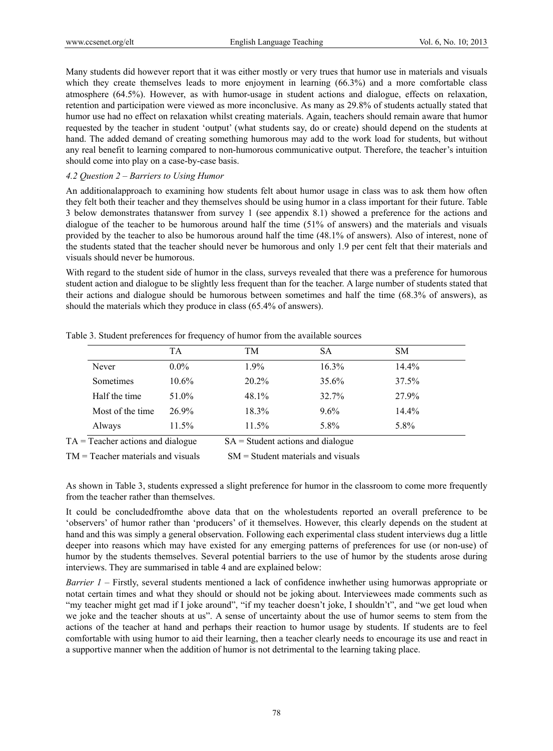Many students did however report that it was either mostly or very trues that humor use in materials and visuals which they create themselves leads to more enjoyment in learning (66.3%) and a more comfortable class atmosphere (64.5%). However, as with humor-usage in student actions and dialogue, effects on relaxation, retention and participation were viewed as more inconclusive. As many as 29.8% of students actually stated that humor use had no effect on relaxation whilst creating materials. Again, teachers should remain aware that humor requested by the teacher in student 'output' (what students say, do or create) should depend on the students at hand. The added demand of creating something humorous may add to the work load for students, but without any real benefit to learning compared to non-humorous communicative output. Therefore, the teacher's intuition should come into play on a case-by-case basis.

#### *4.2 Question 2 – Barriers to Using Humor*

An additionalapproach to examining how students felt about humor usage in class was to ask them how often they felt both their teacher and they themselves should be using humor in a class important for their future. Table 3 below demonstrates thatanswer from survey 1 (see appendix 8.1) showed a preference for the actions and dialogue of the teacher to be humorous around half the time (51% of answers) and the materials and visuals provided by the teacher to also be humorous around half the time (48.1% of answers). Also of interest, none of the students stated that the teacher should never be humorous and only 1.9 per cent felt that their materials and visuals should never be humorous.

With regard to the student side of humor in the class, surveys revealed that there was a preference for humorous student action and dialogue to be slightly less frequent than for the teacher. A large number of students stated that their actions and dialogue should be humorous between sometimes and half the time (68.3% of answers), as should the materials which they produce in class (65.4% of answers).

| TA       | TM      | SА       | <b>SM</b> |
|----------|---------|----------|-----------|
| $0.0\%$  | $1.9\%$ | $16.3\%$ | 14.4%     |
| $10.6\%$ | 20.2%   | $35.6\%$ | 37.5%     |
| 51.0%    | 48.1%   | 32.7%    | 27.9%     |
| 26.9%    | 18.3%   | 9.6%     | 14.4%     |
| 11.5%    | 11.5%   | 5.8%     | 5.8%      |
|          |         |          |           |

Table 3. Student preferences for frequency of humor from the available sources

 $TM = Teacher$  materials and visuals  $SM = Student$  materials and visuals

As shown in Table 3, students expressed a slight preference for humor in the classroom to come more frequently from the teacher rather than themselves.

It could be concludedfromthe above data that on the wholestudents reported an overall preference to be 'observers' of humor rather than 'producers' of it themselves. However, this clearly depends on the student at hand and this was simply a general observation. Following each experimental class student interviews dug a little deeper into reasons which may have existed for any emerging patterns of preferences for use (or non-use) of humor by the students themselves. Several potential barriers to the use of humor by the students arose during interviews. They are summarised in table 4 and are explained below:

*Barrier 1 –* Firstly, several students mentioned a lack of confidence inwhether using humorwas appropriate or notat certain times and what they should or should not be joking about. Interviewees made comments such as "my teacher might get mad if I joke around", "if my teacher doesn't joke, I shouldn't", and "we get loud when we joke and the teacher shouts at us". A sense of uncertainty about the use of humor seems to stem from the actions of the teacher at hand and perhaps their reaction to humor usage by students. If students are to feel comfortable with using humor to aid their learning, then a teacher clearly needs to encourage its use and react in a supportive manner when the addition of humor is not detrimental to the learning taking place.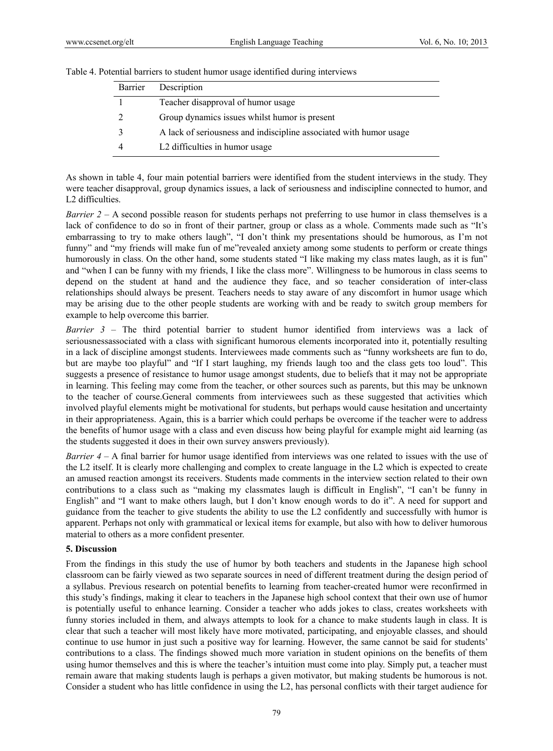| Table 4. Potential barriers to student humor usage identified during interviews |  |
|---------------------------------------------------------------------------------|--|
|---------------------------------------------------------------------------------|--|

| Barrier | Description                                                        |
|---------|--------------------------------------------------------------------|
|         | Teacher disapproval of humor usage                                 |
|         | Group dynamics issues whilst humor is present                      |
|         | A lack of seriousness and indiscipline associated with humor usage |
|         | L <sub>2</sub> difficulties in humor usage                         |

As shown in table 4, four main potential barriers were identified from the student interviews in the study. They were teacher disapproval, group dynamics issues, a lack of seriousness and indiscipline connected to humor, and L2 difficulties.

*Barrier 2 – A* second possible reason for students perhaps not preferring to use humor in class themselves is a lack of confidence to do so in front of their partner, group or class as a whole. Comments made such as "It's embarrassing to try to make others laugh", "I don't think my presentations should be humorous, as I'm not funny" and "my friends will make fun of me"revealed anxiety among some students to perform or create things humorously in class. On the other hand, some students stated "I like making my class mates laugh, as it is fun" and "when I can be funny with my friends, I like the class more". Willingness to be humorous in class seems to depend on the student at hand and the audience they face, and so teacher consideration of inter-class relationships should always be present. Teachers needs to stay aware of any discomfort in humor usage which may be arising due to the other people students are working with and be ready to switch group members for example to help overcome this barrier.

*Barrier 3 –* The third potential barrier to student humor identified from interviews was a lack of seriousnessassociated with a class with significant humorous elements incorporated into it, potentially resulting in a lack of discipline amongst students. Interviewees made comments such as "funny worksheets are fun to do, but are maybe too playful" and "If I start laughing, my friends laugh too and the class gets too loud". This suggests a presence of resistance to humor usage amongst students, due to beliefs that it may not be appropriate in learning. This feeling may come from the teacher, or other sources such as parents, but this may be unknown to the teacher of course.General comments from interviewees such as these suggested that activities which involved playful elements might be motivational for students, but perhaps would cause hesitation and uncertainty in their appropriateness. Again, this is a barrier which could perhaps be overcome if the teacher were to address the benefits of humor usage with a class and even discuss how being playful for example might aid learning (as the students suggested it does in their own survey answers previously).

*Barrier 4 –* A final barrier for humor usage identified from interviews was one related to issues with the use of the L2 itself. It is clearly more challenging and complex to create language in the L2 which is expected to create an amused reaction amongst its receivers. Students made comments in the interview section related to their own contributions to a class such as "making my classmates laugh is difficult in English", "I can't be funny in English" and "I want to make others laugh, but I don't know enough words to do it". A need for support and guidance from the teacher to give students the ability to use the L2 confidently and successfully with humor is apparent. Perhaps not only with grammatical or lexical items for example, but also with how to deliver humorous material to others as a more confident presenter.

## **5. Discussion**

From the findings in this study the use of humor by both teachers and students in the Japanese high school classroom can be fairly viewed as two separate sources in need of different treatment during the design period of a syllabus. Previous research on potential benefits to learning from teacher-created humor were reconfirmed in this study's findings, making it clear to teachers in the Japanese high school context that their own use of humor is potentially useful to enhance learning. Consider a teacher who adds jokes to class, creates worksheets with funny stories included in them, and always attempts to look for a chance to make students laugh in class. It is clear that such a teacher will most likely have more motivated, participating, and enjoyable classes, and should continue to use humor in just such a positive way for learning. However, the same cannot be said for students' contributions to a class. The findings showed much more variation in student opinions on the benefits of them using humor themselves and this is where the teacher's intuition must come into play. Simply put, a teacher must remain aware that making students laugh is perhaps a given motivator, but making students be humorous is not. Consider a student who has little confidence in using the L2, has personal conflicts with their target audience for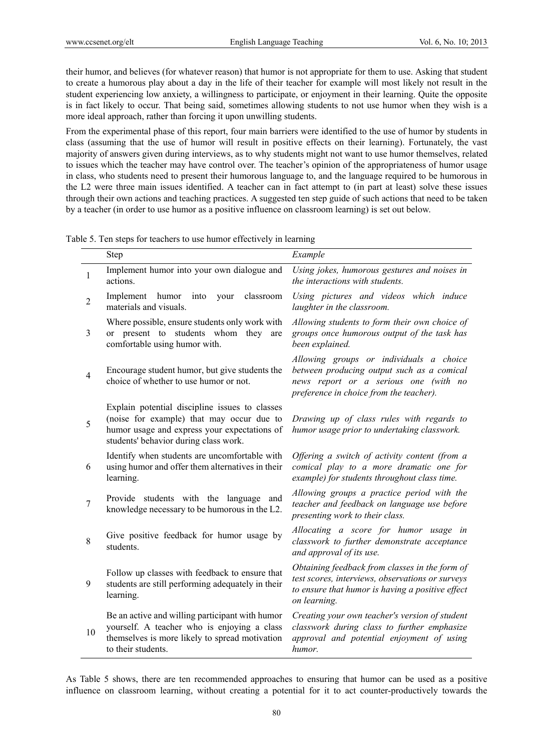their humor, and believes (for whatever reason) that humor is not appropriate for them to use. Asking that student to create a humorous play about a day in the life of their teacher for example will most likely not result in the student experiencing low anxiety, a willingness to participate, or enjoyment in their learning. Quite the opposite is in fact likely to occur. That being said, sometimes allowing students to not use humor when they wish is a more ideal approach, rather than forcing it upon unwilling students.

From the experimental phase of this report, four main barriers were identified to the use of humor by students in class (assuming that the use of humor will result in positive effects on their learning). Fortunately, the vast majority of answers given during interviews, as to why students might not want to use humor themselves, related to issues which the teacher may have control over. The teacher's opinion of the appropriateness of humor usage in class, who students need to present their humorous language to, and the language required to be humorous in the L2 were three main issues identified. A teacher can in fact attempt to (in part at least) solve these issues through their own actions and teaching practices. A suggested ten step guide of such actions that need to be taken by a teacher (in order to use humor as a positive influence on classroom learning) is set out below.

Table 5. Ten steps for teachers to use humor effectively in learning

|                  | Step                                                                                                                                                                                 | Example                                                                                                                                                                   |
|------------------|--------------------------------------------------------------------------------------------------------------------------------------------------------------------------------------|---------------------------------------------------------------------------------------------------------------------------------------------------------------------------|
| 1                | Implement humor into your own dialogue and<br>actions.                                                                                                                               | Using jokes, humorous gestures and noises in<br>the interactions with students.                                                                                           |
| $\overline{2}$   | Implement<br>humor<br>into<br>your<br>classroom<br>materials and visuals.                                                                                                            | Using pictures and videos which induce<br>laughter in the classroom.                                                                                                      |
| 3                | Where possible, ensure students only work with<br>or present to students whom they<br>are<br>comfortable using humor with.                                                           | Allowing students to form their own choice of<br>groups once humorous output of the task has<br>been explained.                                                           |
| $\overline{4}$   | Encourage student humor, but give students the<br>choice of whether to use humor or not.                                                                                             | Allowing groups or individuals a choice<br>between producing output such as a comical<br>news report or a serious one (with no<br>preference in choice from the teacher). |
| 5                | Explain potential discipline issues to classes<br>(noise for example) that may occur due to<br>humor usage and express your expectations of<br>students' behavior during class work. | Drawing up of class rules with regards to<br>humor usage prior to undertaking classwork.                                                                                  |
| 6                | Identify when students are uncomfortable with<br>using humor and offer them alternatives in their<br>learning.                                                                       | Offering a switch of activity content (from a<br>comical play to a more dramatic one for<br>example) for students throughout class time.                                  |
| $\boldsymbol{7}$ | Provide students with the language and<br>knowledge necessary to be humorous in the L2.                                                                                              | Allowing groups a practice period with the<br>teacher and feedback on language use before<br>presenting work to their class.                                              |
| 8                | Give positive feedback for humor usage by<br>students.                                                                                                                               | Allocating a score for humor usage in<br>classwork to further demonstrate acceptance<br>and approval of its use.                                                          |
| 9                | Follow up classes with feedback to ensure that<br>students are still performing adequately in their<br>learning.                                                                     | Obtaining feedback from classes in the form of<br>test scores, interviews, observations or surveys<br>to ensure that humor is having a positive effect<br>on learning.    |
| 10               | Be an active and willing participant with humor<br>yourself. A teacher who is enjoying a class<br>themselves is more likely to spread motivation<br>to their students.               | Creating your own teacher's version of student<br>classwork during class to further emphasize<br>approval and potential enjoyment of using<br>humor.                      |

As Table 5 shows, there are ten recommended approaches to ensuring that humor can be used as a positive influence on classroom learning, without creating a potential for it to act counter-productively towards the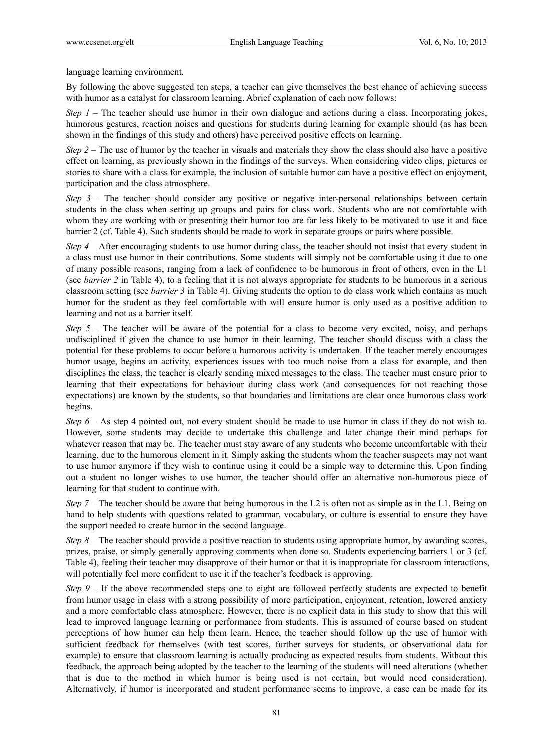language learning environment.

By following the above suggested ten steps, a teacher can give themselves the best chance of achieving success with humor as a catalyst for classroom learning. Abrief explanation of each now follows:

*Step 1* – The teacher should use humor in their own dialogue and actions during a class. Incorporating jokes, humorous gestures, reaction noises and questions for students during learning for example should (as has been shown in the findings of this study and others) have perceived positive effects on learning.

*Step 2 –* The use of humor by the teacher in visuals and materials they show the class should also have a positive effect on learning, as previously shown in the findings of the surveys. When considering video clips, pictures or stories to share with a class for example, the inclusion of suitable humor can have a positive effect on enjoyment, participation and the class atmosphere.

*Step 3 –* The teacher should consider any positive or negative inter-personal relationships between certain students in the class when setting up groups and pairs for class work. Students who are not comfortable with whom they are working with or presenting their humor too are far less likely to be motivated to use it and face barrier 2 (cf. Table 4). Such students should be made to work in separate groups or pairs where possible.

*Step 4 –* After encouraging students to use humor during class, the teacher should not insist that every student in a class must use humor in their contributions. Some students will simply not be comfortable using it due to one of many possible reasons, ranging from a lack of confidence to be humorous in front of others, even in the L1 (see *barrier 2* in Table 4), to a feeling that it is not always appropriate for students to be humorous in a serious classroom setting (see *barrier 3* in Table 4). Giving students the option to do class work which contains as much humor for the student as they feel comfortable with will ensure humor is only used as a positive addition to learning and not as a barrier itself.

*Step 5* – The teacher will be aware of the potential for a class to become very excited, noisy, and perhaps undisciplined if given the chance to use humor in their learning. The teacher should discuss with a class the potential for these problems to occur before a humorous activity is undertaken. If the teacher merely encourages humor usage, begins an activity, experiences issues with too much noise from a class for example, and then disciplines the class, the teacher is clearly sending mixed messages to the class. The teacher must ensure prior to learning that their expectations for behaviour during class work (and consequences for not reaching those expectations) are known by the students, so that boundaries and limitations are clear once humorous class work begins.

*Step 6* – As step 4 pointed out, not every student should be made to use humor in class if they do not wish to. However, some students may decide to undertake this challenge and later change their mind perhaps for whatever reason that may be. The teacher must stay aware of any students who become uncomfortable with their learning, due to the humorous element in it. Simply asking the students whom the teacher suspects may not want to use humor anymore if they wish to continue using it could be a simple way to determine this. Upon finding out a student no longer wishes to use humor, the teacher should offer an alternative non-humorous piece of learning for that student to continue with.

*Step 7* – The teacher should be aware that being humorous in the L2 is often not as simple as in the L1. Being on hand to help students with questions related to grammar, vocabulary, or culture is essential to ensure they have the support needed to create humor in the second language.

*Step 8* – The teacher should provide a positive reaction to students using appropriate humor, by awarding scores, prizes, praise, or simply generally approving comments when done so. Students experiencing barriers 1 or 3 (cf. Table 4), feeling their teacher may disapprove of their humor or that it is inappropriate for classroom interactions, will potentially feel more confident to use it if the teacher's feedback is approving.

*Step 9 –* If the above recommended steps one to eight are followed perfectly students are expected to benefit from humor usage in class with a strong possibility of more participation, enjoyment, retention, lowered anxiety and a more comfortable class atmosphere. However, there is no explicit data in this study to show that this will lead to improved language learning or performance from students. This is assumed of course based on student perceptions of how humor can help them learn. Hence, the teacher should follow up the use of humor with sufficient feedback for themselves (with test scores, further surveys for students, or observational data for example) to ensure that classroom learning is actually producing as expected results from students. Without this feedback, the approach being adopted by the teacher to the learning of the students will need alterations (whether that is due to the method in which humor is being used is not certain, but would need consideration). Alternatively, if humor is incorporated and student performance seems to improve, a case can be made for its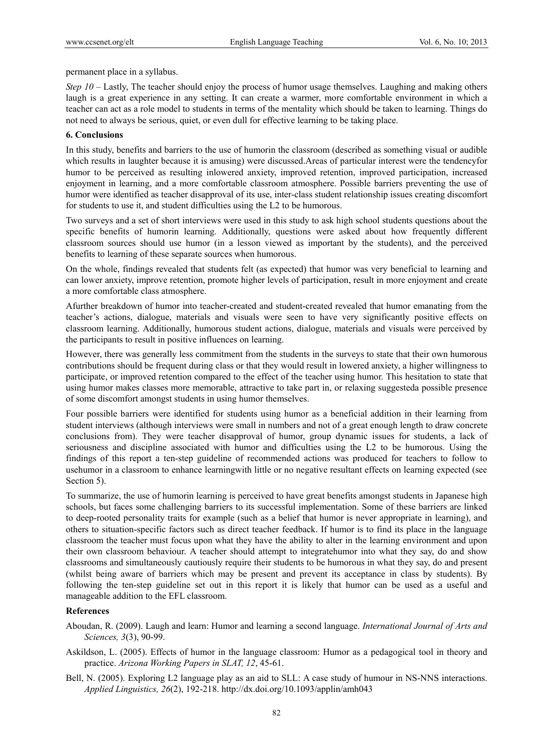permanent place in a syllabus.

*Step 10* – Lastly, The teacher should enjoy the process of humor usage themselves. Laughing and making others laugh is a great experience in any setting. It can create a warmer, more comfortable environment in which a teacher can act as a role model to students in terms of the mentality which should be taken to learning. Things do not need to always be serious, quiet, or even dull for effective learning to be taking place.

#### **6. Conclusions**

In this study, benefits and barriers to the use of humorin the classroom (described as something visual or audible which results in laughter because it is amusing) were discussed.Areas of particular interest were the tendencyfor humor to be perceived as resulting inlowered anxiety, improved retention, improved participation, increased enjoyment in learning, and a more comfortable classroom atmosphere. Possible barriers preventing the use of humor were identified as teacher disapproval of its use, inter-class student relationship issues creating discomfort for students to use it, and student difficulties using the L2 to be humorous.

Two surveys and a set of short interviews were used in this study to ask high school students questions about the specific benefits of humorin learning. Additionally, questions were asked about how frequently different classroom sources should use humor (in a lesson viewed as important by the students), and the perceived benefits to learning of these separate sources when humorous.

On the whole, findings revealed that students felt (as expected) that humor was very beneficial to learning and can lower anxiety, improve retention, promote higher levels of participation, result in more enjoyment and create a more comfortable class atmosphere.

Afurther breakdown of humor into teacher-created and student-created revealed that humor emanating from the teacher's actions, dialogue, materials and visuals were seen to have very significantly positive effects on classroom learning. Additionally, humorous student actions, dialogue, materials and visuals were perceived by the participants to result in positive influences on learning.

However, there was generally less commitment from the students in the surveys to state that their own humorous contributions should be frequent during class or that they would result in lowered anxiety, a higher willingness to participate, or improved retention compared to the effect of the teacher using humor. This hesitation to state that using humor makes classes more memorable, attractive to take part in, or relaxing suggesteda possible presence of some discomfort amongst students in using humor themselves.

Four possible barriers were identified for students using humor as a beneficial addition in their learning from student interviews (although interviews were small in numbers and not of a great enough length to draw concrete conclusions from). They were teacher disapproval of humor, group dynamic issues for students, a lack of seriousness and discipline associated with humor and difficulties using the L2 to be humorous. Using the findings of this report a ten-step guideline of recommended actions was produced for teachers to follow to usehumor in a classroom to enhance learningwith little or no negative resultant effects on learning expected (see Section 5).

To summarize, the use of humorin learning is perceived to have great benefits amongst students in Japanese high schools, but faces some challenging barriers to its successful implementation. Some of these barriers are linked to deep-rooted personality traits for example (such as a belief that humor is never appropriate in learning), and others to situation-specific factors such as direct teacher feedback. If humor is to find its place in the language classroom the teacher must focus upon what they have the ability to alter in the learning environment and upon their own classroom behaviour. A teacher should attempt to integratehumor into what they say, do and show classrooms and simultaneously cautiously require their students to be humorous in what they say, do and present (whilst being aware of barriers which may be present and prevent its acceptance in class by students). By following the ten-step guideline set out in this report it is likely that humor can be used as a useful and manageable addition to the EFL classroom.

## **References**

- Aboudan, R. (2009). Laugh and learn: Humor and learning a second language. *International Journal of Arts and Sciences, 3*(3), 90-99.
- Askildson, L. (2005). Effects of humor in the language classroom: Humor as a pedagogical tool in theory and practice. *Arizona Working Papers in SLAT, 12*, 45-61.
- Bell, N. (2005). Exploring L2 language play as an aid to SLL: A case study of humour in NS-NNS interactions. *Applied Linguistics, 26*(2), 192-218. http://dx.doi.org/10.1093/applin/amh043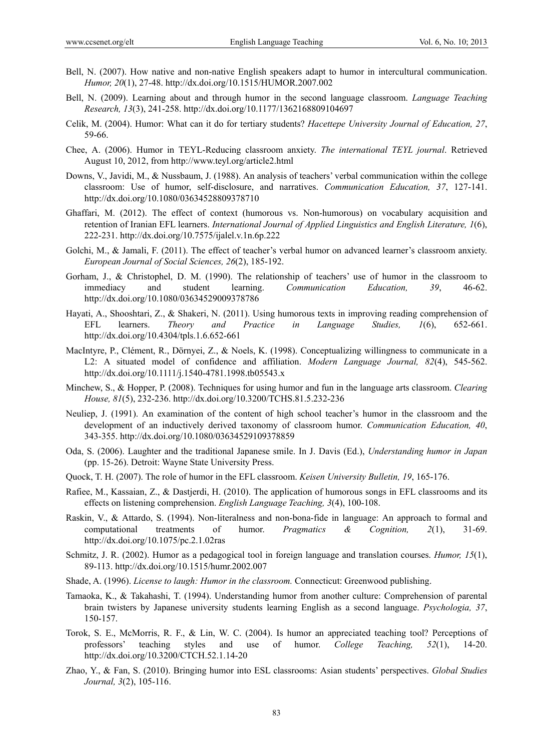- Bell, N. (2007). How native and non-native English speakers adapt to humor in intercultural communication. *Humor, 20*(1), 27-48. http://dx.doi.org/10.1515/HUMOR.2007.002
- Bell, N. (2009). Learning about and through humor in the second language classroom. *Language Teaching Research, 13*(3), 241-258. http://dx.doi.org/10.1177/1362168809104697
- Celik, M. (2004). Humor: What can it do for tertiary students? *Hacettepe University Journal of Education, 27*, 59-66.
- Chee, A. (2006). Humor in TEYL-Reducing classroom anxiety. *The international TEYL journal*. Retrieved August 10, 2012, from http://www.teyl.org/article2.html
- Downs, V., Javidi, M., & Nussbaum, J. (1988). An analysis of teachers' verbal communication within the college classroom: Use of humor, self-disclosure, and narratives. *Communication Education, 37*, 127-141. http://dx.doi.org/10.1080/03634528809378710
- Ghaffari, M. (2012). The effect of context (humorous vs. Non-humorous) on vocabulary acquisition and retention of Iranian EFL learners. *International Journal of Applied Linguistics and English Literature, 1*(6), 222-231. http://dx.doi.org/10.7575/ijalel.v.1n.6p.222
- Golchi, M., & Jamali, F. (2011). The effect of teacher's verbal humor on advanced learner's classroom anxiety. *European Journal of Social Sciences, 26*(2), 185-192.
- Gorham, J., & Christophel, D. M. (1990). The relationship of teachers' use of humor in the classroom to immediacy and student learning. *Communication Education, 39*, 46-62. http://dx.doi.org/10.1080/03634529009378786
- Hayati, A., Shooshtari, Z., & Shakeri, N. (2011). Using humorous texts in improving reading comprehension of EFL learners. *Theory and Practice in Language Studies, 1*(6), 652-661. http://dx.doi.org/10.4304/tpls.1.6.652-661
- MacIntyre, P., Clément, R., Dörnyei, Z., & Noels, K. (1998). Conceptualizing willingness to communicate in a L2: A situated model of confidence and affiliation. *Modern Language Journal, 82*(4), 545-562. http://dx.doi.org/10.1111/j.1540-4781.1998.tb05543.x
- Minchew, S., & Hopper, P. (2008). Techniques for using humor and fun in the language arts classroom. *Clearing House, 81*(5), 232-236. http://dx.doi.org/10.3200/TCHS.81.5.232-236
- Neuliep, J. (1991). An examination of the content of high school teacher's humor in the classroom and the development of an inductively derived taxonomy of classroom humor. *Communication Education, 40*, 343-355. http://dx.doi.org/10.1080/03634529109378859
- Oda, S. (2006). Laughter and the traditional Japanese smile. In J. Davis (Ed.), *Understanding humor in Japan*  (pp. 15-26). Detroit: Wayne State University Press.
- Quock, T. H. (2007). The role of humor in the EFL classroom. *Keisen University Bulletin, 19*, 165-176.
- Rafiee, M., Kassaian, Z., & Dastjerdi, H. (2010). The application of humorous songs in EFL classrooms and its effects on listening comprehension. *English Language Teaching, 3*(4), 100-108.
- Raskin, V., & Attardo, S. (1994). Non-literalness and non-bona-fide in language: An approach to formal and computational treatments of humor. *Pragmatics & Cognition, 2*(1), 31-69. http://dx.doi.org/10.1075/pc.2.1.02ras
- Schmitz, J. R. (2002). Humor as a pedagogical tool in foreign language and translation courses. *Humor, 15*(1), 89-113. http://dx.doi.org/10.1515/humr.2002.007
- Shade, A. (1996). *License to laugh: Humor in the classroom.* Connecticut: Greenwood publishing.
- Tamaoka, K., & Takahashi, T. (1994). Understanding humor from another culture: Comprehension of parental brain twisters by Japanese university students learning English as a second language. *Psychologia, 37*, 150-157.
- Torok, S. E., McMorris, R. F., & Lin, W. C. (2004). Is humor an appreciated teaching tool? Perceptions of professors' teaching styles and use of humor. *College Teaching, 52*(1), 14-20. http://dx.doi.org/10.3200/CTCH.52.1.14-20
- Zhao, Y., & Fan, S. (2010). Bringing humor into ESL classrooms: Asian students' perspectives. *Global Studies Journal, 3*(2), 105-116.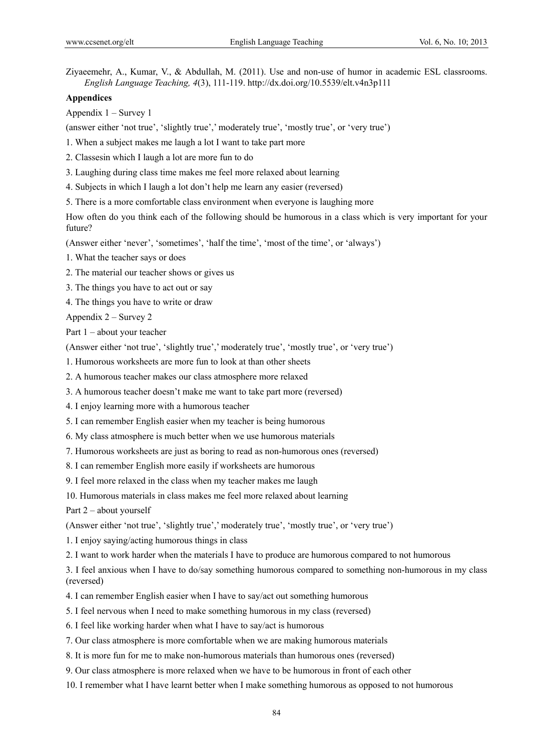Ziyaeemehr, A., Kumar, V., & Abdullah, M. (2011). Use and non-use of humor in academic ESL classrooms. *English Language Teaching, 4*(3), 111-119. http://dx.doi.org/10.5539/elt.v4n3p111

#### **Appendices**

Appendix 1 – Survey 1

(answer either 'not true', 'slightly true',' moderately true', 'mostly true', or 'very true')

1. When a subject makes me laugh a lot I want to take part more

2. Classesin which I laugh a lot are more fun to do

3. Laughing during class time makes me feel more relaxed about learning

4. Subjects in which I laugh a lot don't help me learn any easier (reversed)

5. There is a more comfortable class environment when everyone is laughing more

How often do you think each of the following should be humorous in a class which is very important for your future?

(Answer either 'never', 'sometimes', 'half the time', 'most of the time', or 'always')

1. What the teacher says or does

- 2. The material our teacher shows or gives us
- 3. The things you have to act out or say

4. The things you have to write or draw

Appendix 2 – Survey 2

Part 1 – about your teacher

(Answer either 'not true', 'slightly true',' moderately true', 'mostly true', or 'very true')

1. Humorous worksheets are more fun to look at than other sheets

2. A humorous teacher makes our class atmosphere more relaxed

3. A humorous teacher doesn't make me want to take part more (reversed)

4. I enjoy learning more with a humorous teacher

5. I can remember English easier when my teacher is being humorous

6. My class atmosphere is much better when we use humorous materials

7. Humorous worksheets are just as boring to read as non-humorous ones (reversed)

8. I can remember English more easily if worksheets are humorous

9. I feel more relaxed in the class when my teacher makes me laugh

10. Humorous materials in class makes me feel more relaxed about learning

Part 2 – about yourself

(Answer either 'not true', 'slightly true',' moderately true', 'mostly true', or 'very true')

1. I enjoy saying/acting humorous things in class

2. I want to work harder when the materials I have to produce are humorous compared to not humorous

3. I feel anxious when I have to do/say something humorous compared to something non-humorous in my class (reversed)

4. I can remember English easier when I have to say/act out something humorous

5. I feel nervous when I need to make something humorous in my class (reversed)

6. I feel like working harder when what I have to say/act is humorous

7. Our class atmosphere is more comfortable when we are making humorous materials

8. It is more fun for me to make non-humorous materials than humorous ones (reversed)

9. Our class atmosphere is more relaxed when we have to be humorous in front of each other

10. I remember what I have learnt better when I make something humorous as opposed to not humorous